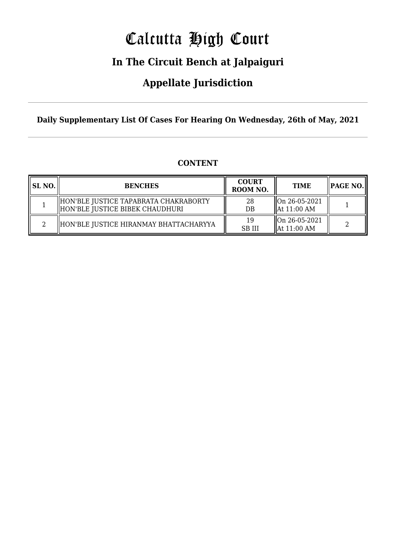# Calcutta High Court

### **In The Circuit Bench at Jalpaiguri**

### **Appellate Jurisdiction**

**Daily Supplementary List Of Cases For Hearing On Wednesday, 26th of May, 2021**

|  | <b>CONTENT</b> |
|--|----------------|
|--|----------------|

| SL NO. | <b>BENCHES</b>                                                             | <b>COURT</b><br>ROOM NO. | <b>TIME</b>                              | $\parallel$ PAGE NO. $\parallel$ |
|--------|----------------------------------------------------------------------------|--------------------------|------------------------------------------|----------------------------------|
|        | HON'BLE JUSTICE TAPABRATA CHAKRABORTY<br>  HON'BLE JUSTICE BIBEK CHAUDHURI | 28<br>$DB$               | $\parallel$ On 26-05-2021<br>At 11:00 AM |                                  |
|        | HON'BLE JUSTICE HIRANMAY BHATTACHARYYA                                     | 19<br><b>SB III</b>      | On 26-05-2021<br>At 11:00 AM             | າ                                |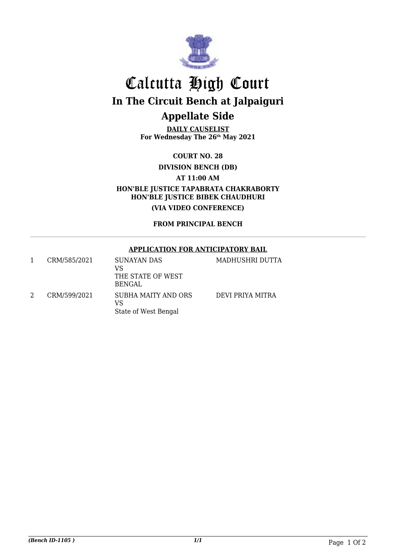

## Calcutta High Court **In The Circuit Bench at Jalpaiguri Appellate Side**

**DAILY CAUSELIST For Wednesday The 26th May 2021**

**COURT NO. 28**

**DIVISION BENCH (DB)**

**AT 11:00 AM**

**HON'BLE JUSTICE TAPABRATA CHAKRABORTY HON'BLE JUSTICE BIBEK CHAUDHURI (VIA VIDEO CONFERENCE)**

**FROM PRINCIPAL BENCH**

#### **APPLICATION FOR ANTICIPATORY BAIL**

| CRM/585/2021 | SUNAYAN DAS<br>VS<br>THE STATE OF WEST<br>BENGAL  | MADHUSHRI DUTTA  |
|--------------|---------------------------------------------------|------------------|
| CRM/599/2021 | SUBHA MAITY AND ORS<br>VS<br>State of West Bengal | DEVI PRIYA MITRA |